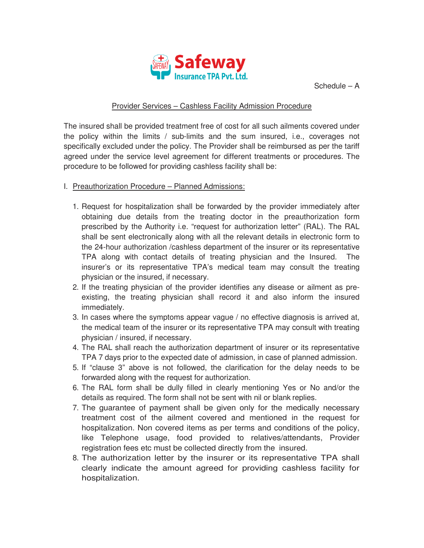

Schedule – A

## Provider Services – Cashless Facility Admission Procedure

The insured shall be provided treatment free of cost for all such ailments covered under the policy within the limits / sub-limits and the sum insured, i.e., coverages not specifically excluded under the policy. The Provider shall be reimbursed as per the tariff agreed under the service level agreement for different treatments or procedures. The procedure to be followed for providing cashless facility shall be:

- I. Preauthorization Procedure Planned Admissions:
	- 1. Request for hospitalization shall be forwarded by the provider immediately after obtaining due details from the treating doctor in the preauthorization form prescribed by the Authority i.e. "request for authorization letter" (RAL). The RAL shall be sent electronically along with all the relevant details in electronic form to the 24-hour authorization /cashless department of the insurer or its representative TPA along with contact details of treating physician and the Insured. The insurer's or its representative TPA's medical team may consult the treating physician or the insured, if necessary.
	- 2. If the treating physician of the provider identifies any disease or ailment as preexisting, the treating physician shall record it and also inform the insured immediately.
	- 3. In cases where the symptoms appear vague / no effective diagnosis is arrived at, the medical team of the insurer or its representative TPA may consult with treating physician / insured, if necessary.
	- 4. The RAL shall reach the authorization department of insurer or its representative TPA 7 days prior to the expected date of admission, in case of planned admission.
	- 5. If "clause 3" above is not followed, the clarification for the delay needs to be forwarded along with the request for authorization.
	- 6. The RAL form shall be dully filled in clearly mentioning Yes or No and/or the details as required. The form shall not be sent with nil or blank replies.
	- 7. The guarantee of payment shall be given only for the medically necessary treatment cost of the ailment covered and mentioned in the request for hospitalization. Non covered items as per terms and conditions of the policy, like Telephone usage, food provided to relatives/attendants, Provider registration fees etc must be collected directly from the insured.
	- 8. The authorization letter by the insurer or its representative TPA shall clearly indicate the amount agreed for providing cashless facility for hospitalization.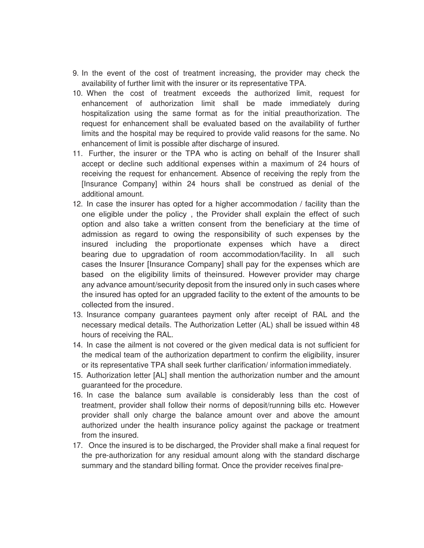- 9. In the event of the cost of treatment increasing, the provider may check the availability of further limit with the insurer or its representative TPA.
- 10. When the cost of treatment exceeds the authorized limit, request for enhancement of authorization limit shall be made immediately during hospitalization using the same format as for the initial preauthorization. The request for enhancement shall be evaluated based on the availability of further limits and the hospital may be required to provide valid reasons for the same. No enhancement of limit is possible after discharge of insured.
- 11. Further, the insurer or the TPA who is acting on behalf of the Insurer shall accept or decline such additional expenses within a maximum of 24 hours of receiving the request for enhancement. Absence of receiving the reply from the [Insurance Company] within 24 hours shall be construed as denial of the additional amount.
- 12. In case the insurer has opted for a higher accommodation / facility than the one eligible under the policy , the Provider shall explain the effect of such option and also take a written consent from the beneficiary at the time of admission as regard to owing the responsibility of such expenses by the insured including the proportionate expenses which have a direct bearing due to upgradation of room accommodation/facility. In all such cases the Insurer [Insurance Company] shall pay for the expenses which are based on the eligibility limits of theinsured. However provider may charge any advance amount/security deposit from the insured only in such cases where the insured has opted for an upgraded facility to the extent of the amounts to be collected from the insured .
- 13. Insurance company guarantees payment only after receipt of RAL and the necessary medical details. The Authorization Letter (AL) shall be issued within 48 hours of receiving the RAL.
- 14. In case the ailment is not covered or the given medical data is not sufficient for the medical team of the authorization department to confirm the eligibility, insurer or its representative TPA shall seek further clarification/ information immediately.
- 15. Authorization letter [AL] shall mention the authorization number and the amount guaranteed for the procedure.
- 16. In case the balance sum available is considerably less than the cost of treatment, provider shall follow their norms of deposit/running bills etc. However provider shall only charge the balance amount over and above the amount authorized under the health insurance policy against the package or treatment from the insured.
- 17. Once the insured is to be discharged, the Provider shall make a final request for the pre-authorization for any residual amount along with the standard discharge summary and the standard billing format. Once the provider receives final pre-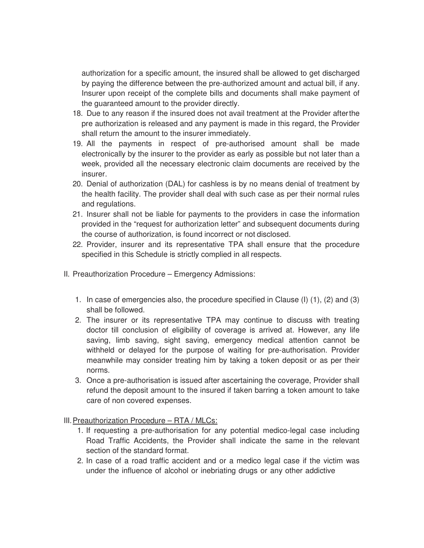authorization for a specific amount, the insured shall be allowed to get discharged by paying the difference between the pre-authorized amount and actual bill, if any. Insurer upon receipt of the complete bills and documents shall make payment of the guaranteed amount to the provider directly.

- 18. Due to any reason if the insured does not avail treatment at the Provider after the pre authorization is released and any payment is made in this regard, the Provider shall return the amount to the insurer immediately.
- 19. All the payments in respect of pre-authorised amount shall be made electronically by the insurer to the provider as early as possible but not later than a week, provided all the necessary electronic claim documents are received by the insurer.
- 20. Denial of authorization (DAL) for cashless is by no means denial of treatment by the health facility. The provider shall deal with such case as per their normal rules and regulations.
- 21. Insurer shall not be liable for payments to the providers in case the information provided in the "request for authorization letter" and subsequent documents during the course of authorization, is found incorrect or not disclosed.
- 22. Provider, insurer and its representative TPA shall ensure that the procedure specified in this Schedule is strictly complied in all respects.
- II. Preauthorization Procedure Emergency Admissions:
	- 1. In case of emergencies also, the procedure specified in Clause (I) (1), (2) and (3) shall be followed.
	- 2. The insurer or its representative TPA may continue to discuss with treating doctor till conclusion of eligibility of coverage is arrived at. However, any life saving, limb saving, sight saving, emergency medical attention cannot be withheld or delayed for the purpose of waiting for pre-authorisation. Provider meanwhile may consider treating him by taking a token deposit or as per their norms.
	- 3. Once a pre-authorisation is issued after ascertaining the coverage, Provider shall refund the deposit amount to the insured if taken barring a token amount to take care of non covered expenses.

III. Preauthorization Procedure – RTA / MLCs:

- 1. If requesting a pre-authorisation for any potential medico-legal case including Road Traffic Accidents, the Provider shall indicate the same in the relevant section of the standard format.
- 2. In case of a road traffic accident and or a medico legal case if the victim was under the influence of alcohol or inebriating drugs or any other addictive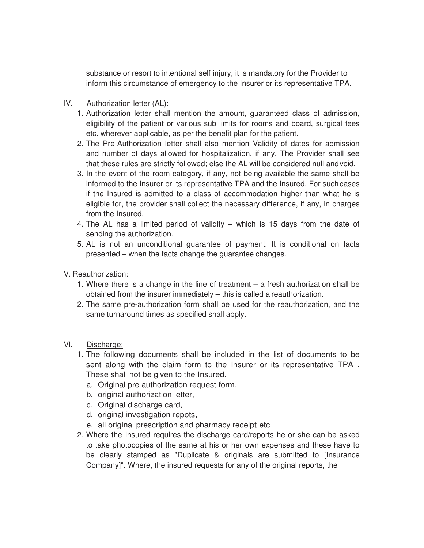substance or resort to intentional self injury, it is mandatory for the Provider to inform this circumstance of emergency to the Insurer or its representative TPA.

## IV. Authorization letter (AL):

- 1. Authorization letter shall mention the amount, guaranteed class of admission, eligibility of the patient or various sub limits for rooms and board, surgical fees etc. wherever applicable, as per the benefit plan for the patient.
- 2. The Pre-Authorization letter shall also mention Validity of dates for admission and number of days allowed for hospitalization, if any. The Provider shall see that these rules are strictly followed; else the AL will be considered null and void.
- 3. In the event of the room category, if any, not being available the same shall be informed to the Insurer or its representative TPA and the Insured. For such cases if the Insured is admitted to a class of accommodation higher than what he is eligible for, the provider shall collect the necessary difference, if any, in charges from the Insured.
- 4. The AL has a limited period of validity which is 15 days from the date of sending the authorization.
- 5. AL is not an unconditional guarantee of payment. It is conditional on facts presented – when the facts change the guarantee changes.
- V. Reauthorization:
	- 1. Where there is a change in the line of treatment a fresh authorization shall be obtained from the insurer immediately – this is called a reauthorization.
	- 2. The same pre-authorization form shall be used for the reauthorization, and the same turnaround times as specified shall apply.
- VI. Discharge:
	- 1. The following documents shall be included in the list of documents to be sent along with the claim form to the Insurer or its representative TPA . These shall not be given to the Insured.
		- a. Original pre authorization request form,
		- b. original authorization letter,
		- c. Original discharge card,
		- d. original investigation repots,
		- e. all original prescription and pharmacy receipt etc
	- 2. Where the Insured requires the discharge card/reports he or she can be asked to take photocopies of the same at his or her own expenses and these have to be clearly stamped as "Duplicate & originals are submitted to [Insurance Company]". Where, the insured requests for any of the original reports, the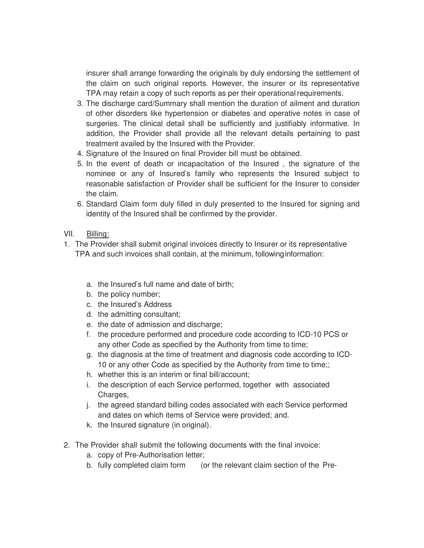insurer shall arrange forwarding the originals by duly endorsing the settlement of the claim on such original reports. However, the insurer or its representative TPA may retain a copy of such reports as per their operational requirements.

- 3. The discharge card/Summary shall mention the duration of ailment and duration of other disorders like hypertension or diabetes and operative notes in case of surgeries. The clinical detail shall be sufficiently and justifiably informative. In addition, the Provider shall provide all the relevant details pertaining to past treatment availed by the Insured with the Provider.
- 4. Signature of the Insured on final Provider bill must be obtained.
- 5. In the event of death or incapacitation of the Insured , the signature of the nominee or any of Insured's family who represents the Insured subject to reasonable satisfaction of Provider shall be sufficient for the Insurer to consider the claim.
- 6. Standard Claim form duly filled in duly presented to the Insured for signing and identity of the Insured shall be confirmed by the provider.
- VII. Billing:
- 1. The Provider shall submit original invoices directly to Insurer or its representative TPA and such invoices shall contain, at the minimum, following information:
	- a. the Insured's full name and date of birth;
	- b. the policy number;
	- c. the Insured's Address
	- d. the admitting consultant;
	- e. the date of admission and discharge;
	- f. the procedure performed and procedure code according to ICD-10 PCS or any other Code as specified by the Authority from time to time;
	- g. the diagnosis at the time of treatment and diagnosis code according to ICD-10 or any other Code as specified by the Authority from time to time;;
	- h. whether this is an interim or final bill/account;
	- i. the description of each Service performed, together with associated Charges,
	- j. the agreed standard billing codes associated with each Service performed and dates on which items of Service were provided; and.
	- k. the Insured signature (in original).
- 2. The Provider shall submit the following documents with the final invoice:
	- a. copy of Pre-Authorisation letter;
	- b. fully completed claim form (or the relevant claim section of the Pre-